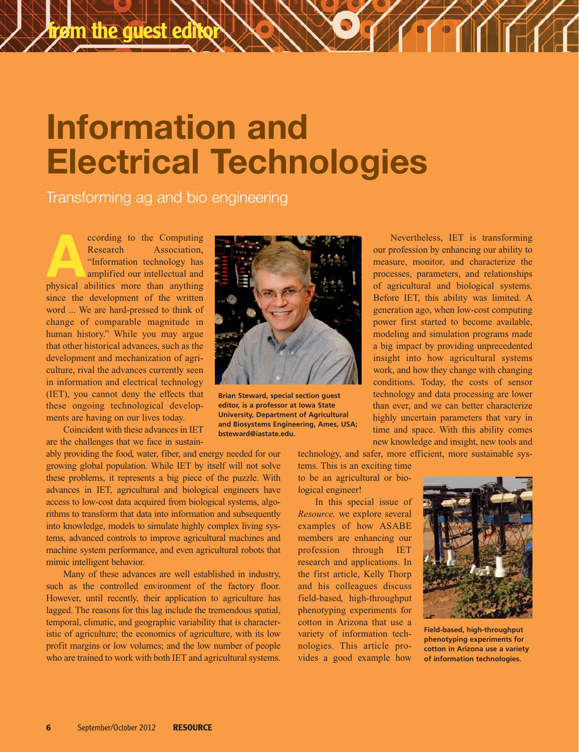## **Information and Electrical Technologies**

Transforming ag and bio engineering

**According to the Computing Research Association, "Information technology has amplified our intellectual and physical abilities more than anything** Research Association, "Information technology has amplified our intellectual and since the development of the written word ... We are hard-pressed to think of change of comparable magnitude in human history." While you may argue that other historical advances, such as the development and mechanization of agriculture, rival the advances currently seen in information and electrical technology (IET), you cannot deny the effects that these ongoing technological developments are having on our lives today.

Coincident with these advances in IET are the challenges that we face in sustain-

ably providing the food, water, fiber, and energy needed for our growing global population. While IET by itself will not solve these problems, it represents a big piece of the puzzle. With advances in IET, agricultural and biological engineers have access to low-cost data acquired from biological systems, algorithms to transform that data into information and subsequently into knowledge, models to simulate highly complex living systems, advanced controls to improve agricultural machines and machine system performance, and even agricultural robots that mimic intelligent behavior.

Many of these advances are well established in industry, such as the controlled environment of the factory floor. However, until recently, their application to agriculture has lagged. The reasons for this lag include the tremendous spatial, temporal, climatic, and geographic variability that is characteristic of agriculture; the economics of agriculture, with its low profit margins or low volumes; and the low number of people who are trained to work with both IET and agricultural systems.



**Brian Steward, special section guest editor, is a professor at Iowa State University, Department of Agricultural and Biosystems Engineering, Ames, USA; bsteward@iastate.edu.**

Nevertheless, IET is transforming our profession by enhancing our ability to measure, monitor, and characterize the processes, parameters, and relationships of agricultural and biological systems. Before IET, this ability was limited. A generation ago, when low-cost computing power first started to become available, modeling and simulation programs made a big impact by providing unprecedented insight into how agricultural systems work, and how they change with changing conditions. Today, the costs of sensor technology and data processing are lower than ever, and we can better characterize highly uncertain parameters that vary in time and space. With this ability comes new knowledge and insight, new tools and

technology, and safer, more efficient, more sustainable sys-

tems. This is an exciting time to be an agricultural or biological engineer!

In this special issue of *Resource,* we explore several examples of how ASABE members are enhancing our profession through IET research and applications. In the first article, Kelly Thorp and his colleagues discuss field-based, high-throughput phenotyping experiments for cotton in Arizona that use a variety of information technologies. This article provides a good example how



**Field-based, high-throughput phenotyping experiments for cotton in Arizona use a variety of information technologies.**